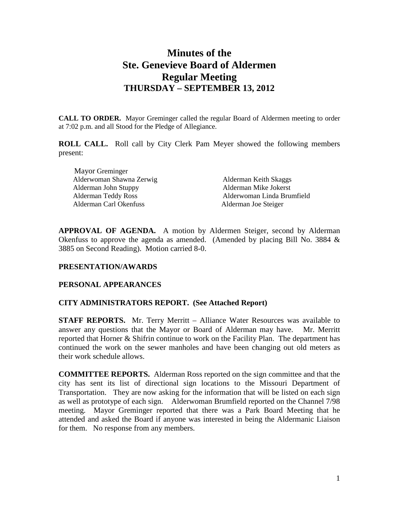# **Minutes of the Ste. Genevieve Board of Aldermen Regular Meeting THURSDAY – SEPTEMBER 13, 2012**

**CALL TO ORDER.** Mayor Greminger called the regular Board of Aldermen meeting to order at 7:02 p.m. and all Stood for the Pledge of Allegiance.

**ROLL CALL.** Roll call by City Clerk Pam Meyer showed the following members present:

Mayor Greminger Alderwoman Shawna Zerwig Alderman Keith Skaggs Alderman John Stuppy Alderman Mike Jokerst Alderman Carl Okenfuss Alderman Joe Steiger

Alderman Teddy Ross Alderwoman Linda Brumfield

**APPROVAL OF AGENDA.** A motion by Aldermen Steiger, second by Alderman Okenfuss to approve the agenda as amended. (Amended by placing Bill No. 3884 & 3885 on Second Reading). Motion carried 8-0.

### **PRESENTATION/AWARDS**

### **PERSONAL APPEARANCES**

### **CITY ADMINISTRATORS REPORT. (See Attached Report)**

**STAFF REPORTS.** Mr. Terry Merritt – Alliance Water Resources was available to answer any questions that the Mayor or Board of Alderman may have. Mr. Merritt reported that Horner & Shifrin continue to work on the Facility Plan. The department has continued the work on the sewer manholes and have been changing out old meters as their work schedule allows.

**COMMITTEE REPORTS.** Alderman Ross reported on the sign committee and that the city has sent its list of directional sign locations to the Missouri Department of Transportation. They are now asking for the information that will be listed on each sign as well as prototype of each sign. Alderwoman Brumfield reported on the Channel 7/98 meeting. Mayor Greminger reported that there was a Park Board Meeting that he attended and asked the Board if anyone was interested in being the Aldermanic Liaison for them. No response from any members.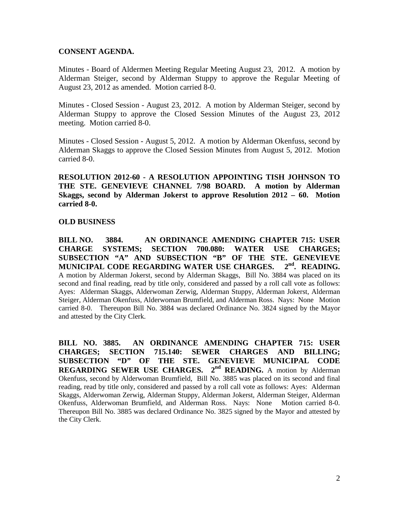### **CONSENT AGENDA.**

Minutes - Board of Aldermen Meeting Regular Meeting August 23, 2012. A motion by Alderman Steiger, second by Alderman Stuppy to approve the Regular Meeting of August 23, 2012 as amended. Motion carried 8-0.

Minutes - Closed Session - August 23, 2012. A motion by Alderman Steiger, second by Alderman Stuppy to approve the Closed Session Minutes of the August 23, 2012 meeting. Motion carried 8-0.

Minutes - Closed Session - August 5, 2012. A motion by Alderman Okenfuss, second by Alderman Skaggs to approve the Closed Session Minutes from August 5, 2012. Motion carried 8-0.

**RESOLUTION 2012-60 - A RESOLUTION APPOINTING TISH JOHNSON TO THE STE. GENEVIEVE CHANNEL 7/98 BOARD. A motion by Alderman Skaggs, second by Alderman Jokerst to approve Resolution 2012 – 60. Motion carried 8-0.** 

#### **OLD BUSINESS**

**BILL NO. 3884. AN ORDINANCE AMENDING CHAPTER 715: USER CHARGE SYSTEMS; SECTION 700.080: WATER USE CHARGES;** SUBSECTION "A" AND SUBSECTION "B" OF THE STE. GENEVIEVE MUNICIPAL CODE REGARDING WATER USE CHARGES. 2<sup>nd</sup>. READING. **MUNICIPAL CODE REGARDING WATER USE CHARGES. 2nd. READING.**  A motion by Alderman Jokerst, second by Alderman Skaggs, Bill No. 3884 was placed on its second and final reading, read by title only, considered and passed by a roll call vote as follows: Ayes: Alderman Skaggs, Alderwoman Zerwig, Alderman Stuppy, Alderman Jokerst, Alderman Steiger, Alderman Okenfuss, Alderwoman Brumfield, and Alderman Ross. Nays: None Motion carried 8-0. Thereupon Bill No. 3884 was declared Ordinance No. 3824 signed by the Mayor and attested by the City Clerk.

**BILL NO. 3885. AN ORDINANCE AMENDING CHAPTER 715: USER CHARGES; SECTION 715.140: SEWER CHARGES AND BILLING; SUBSECTION "D" OF THE STE. GENEVIEVE MUNICIPAL CODE REGARDING SEWER USE CHARGES. 2nd READING.** A motion by Alderman Okenfuss, second by Alderwoman Brumfield, Bill No. 3885 was placed on its second and final reading, read by title only, considered and passed by a roll call vote as follows: Ayes: Alderman Skaggs, Alderwoman Zerwig, Alderman Stuppy, Alderman Jokerst, Alderman Steiger, Alderman Okenfuss, Alderwoman Brumfield, and Alderman Ross. Nays: None Motion carried 8-0. Thereupon Bill No. 3885 was declared Ordinance No. 3825 signed by the Mayor and attested by the City Clerk.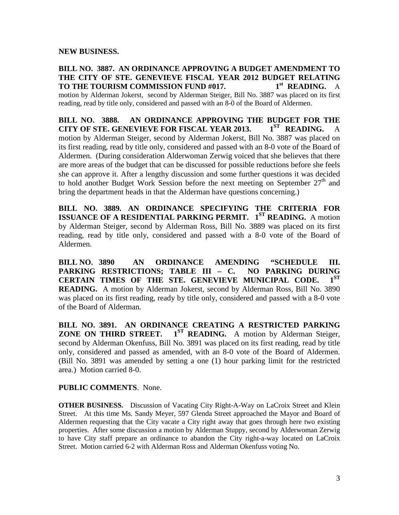### **NEW BUSINESS.**

## **BILL NO. 3887. AN ORDINANCE APPROVING A BUDGET AMENDMENT TO THE CITY OF STE. GENEVIEVE FISCAL YEAR 2012 BUDGET RELATING TO THE TOURISM COMMISSION FUND #017. 1st READING.** A

motion by Alderman Jokerst, second by Alderman Steiger, Bill No. 3887 was placed on its first reading, read by title only, considered and passed with an 8-0 of the Board of Aldermen.

**BILL NO. 3888. AN ORDINANCE APPROVING THE BUDGET FOR THE CITY OF STE. GENEVIEVE FOR FISCAL YEAR 2013.** 1<sup>st</sup> READING. A **CITY OF STE. GENEVIEVE FOR FISCAL YEAR 2013. 1ST READING.** A motion by Alderman Steiger, second by Alderman Jokerst, Bill No. 3887 was placed on its first reading, read by title only, considered and passed with an 8-0 vote of the Board of Aldermen. (During consideration Alderwoman Zerwig voiced that she believes that there are more areas of the budget that can be discussed for possible reductions before she feels she can approve it. After a lengthy discussion and some further questions it was decided to hold another Budget Work Session before the next meeting on September  $27<sup>th</sup>$  and bring the department heads in that the Alderman have questions concerning.)

**BILL NO. 3889. AN ORDINANCE SPECIFYING THE CRITERIA FOR ISSUANCE OF A RESIDENTIAL PARKING PERMIT. 1ST READING.** A motion by Alderman Steiger, second by Alderman Ross, Bill No. 3889 was placed on its first reading, read by title only, considered and passed with a 8-0 vote of the Board of Aldermen.

**BILL NO. 3890 AN ORDINANCE AMENDING "SCHEDULE III. PARKING RESTRICTIONS; TABLE III – C. NO PARKING DURING**  CERTAIN TIMES OF THE STE. GENEVIEVE MUNICIPAL CODE. **READING.** A motion by Alderman Jokerst, second by Alderman Ross, Bill No. 3890 was placed on its first reading, ready by title only, considered and passed with a 8-0 vote of the Board of Alderman.

**BILL NO. 3891. AN ORDINANCE CREATING A RESTRICTED PARKING ZONE ON THIRD STREET. 1ST READING.** A motion by Alderman Steiger, second by Alderman Okenfuss, Bill No. 3891 was placed on its first reading, read by title only, considered and passed as amended, with an 8-0 vote of the Board of Aldermen. (Bill No. 3891 was amended by setting a one (1) hour parking limit for the restricted area.) Motion carried 8-0.

### **PUBLIC COMMENTS**. None.

**OTHER BUSINESS.** Discussion of Vacating City Right-A-Way on LaCroix Street and Klein Street. At this time Ms. Sandy Meyer, 597 Glenda Street approached the Mayor and Board of Aldermen requesting that the City vacate a City right away that goes through here two existing properties. After some discussion a motion by Alderman Stuppy, second by Alderwoman Zerwig to have City staff prepare an ordinance to abandon the City right-a-way located on LaCroix Street. Motion carried 6-2 with Alderman Ross and Alderman Okenfuss voting No.